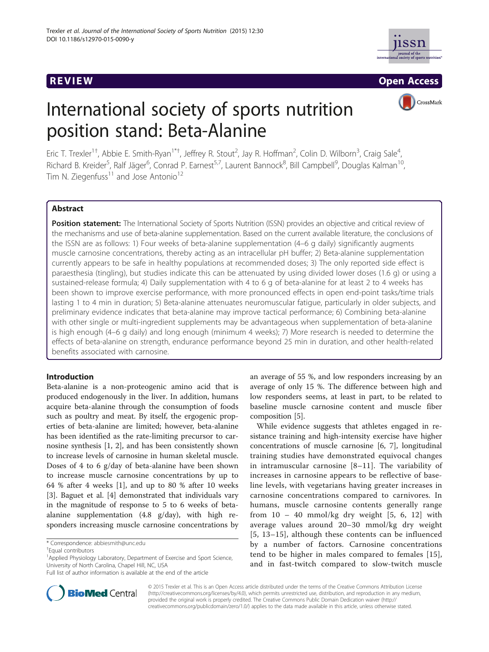

R EVI EW Open Access

CrossMark

# International society of sports nutrition position stand: Beta-Alanine

Eric T. Trexler<sup>1†</sup>, Abbie E. Smith-Ryan<sup>1\*†</sup>, Jeffrey R. Stout<sup>2</sup>, Jay R. Hoffman<sup>2</sup>, Colin D. Wilborn<sup>3</sup>, Craig Sale<sup>4</sup> , Richard B. Kreider<sup>5</sup>, Ralf Jäger<sup>6</sup>, Conrad P. Earnest<sup>5,7</sup>, Laurent Bannock<sup>8</sup>, Bill Campbell<sup>9</sup>, Douglas Kalman<sup>10</sup>, Tim N. Ziegenfuss<sup>11</sup> and Jose Antonio<sup>12</sup>

# Abstract

Position statement: The International Society of Sports Nutrition (ISSN) provides an objective and critical review of the mechanisms and use of beta-alanine supplementation. Based on the current available literature, the conclusions of the ISSN are as follows: 1) Four weeks of beta-alanine supplementation (4–6 g daily) significantly augments muscle carnosine concentrations, thereby acting as an intracellular pH buffer; 2) Beta-alanine supplementation currently appears to be safe in healthy populations at recommended doses; 3) The only reported side effect is paraesthesia (tingling), but studies indicate this can be attenuated by using divided lower doses (1.6 g) or using a sustained-release formula; 4) Daily supplementation with 4 to 6 g of beta-alanine for at least 2 to 4 weeks has been shown to improve exercise performance, with more pronounced effects in open end-point tasks/time trials lasting 1 to 4 min in duration; 5) Beta-alanine attenuates neuromuscular fatigue, particularly in older subjects, and preliminary evidence indicates that beta-alanine may improve tactical performance; 6) Combining beta-alanine with other single or multi-ingredient supplements may be advantageous when supplementation of beta-alanine is high enough (4–6 g daily) and long enough (minimum 4 weeks); 7) More research is needed to determine the effects of beta-alanine on strength, endurance performance beyond 25 min in duration, and other health-related benefits associated with carnosine.

# Introduction

Beta-alanine is a non-proteogenic amino acid that is produced endogenously in the liver. In addition, humans acquire beta-alanine through the consumption of foods such as poultry and meat. By itself, the ergogenic properties of beta-alanine are limited; however, beta-alanine has been identified as the rate-limiting precursor to carnosine synthesis [\[1, 2](#page-10-0)], and has been consistently shown to increase levels of carnosine in human skeletal muscle. Doses of 4 to 6 g/day of beta-alanine have been shown to increase muscle carnosine concentrations by up to 64 % after 4 weeks [[1\]](#page-10-0), and up to 80 % after 10 weeks [[3\]](#page-10-0). Baguet et al. [[4](#page-10-0)] demonstrated that individuals vary in the magnitude of response to 5 to 6 weeks of betaalanine supplementation (4.8 g/day), with high responders increasing muscle carnosine concentrations by

<sup>1</sup>Applied Physiology Laboratory, Department of Exercise and Sport Science, University of North Carolina, Chapel Hill, NC, USA



While evidence suggests that athletes engaged in resistance training and high-intensity exercise have higher concentrations of muscle carnosine [[6, 7\]](#page-10-0), longitudinal training studies have demonstrated equivocal changes in intramuscular carnosine [\[8](#page-10-0)–[11\]](#page-10-0). The variability of increases in carnosine appears to be reflective of baseline levels, with vegetarians having greater increases in carnosine concentrations compared to carnivores. In humans, muscle carnosine contents generally range from  $10 - 40$  mmol/kg dry weight  $[5, 6, 12]$  $[5, 6, 12]$  $[5, 6, 12]$  $[5, 6, 12]$  $[5, 6, 12]$  with average values around 20–30 mmol/kg dry weight [[5](#page-10-0), [13](#page-10-0)–[15\]](#page-10-0), although these contents can be influenced by a number of factors. Carnosine concentrations tend to be higher in males compared to females [[15](#page-10-0)], and in fast-twitch compared to slow-twitch muscle



© 2015 Trexler et al. This is an Open Access article distributed under the terms of the Creative Commons Attribution License [\(http://creativecommons.org/licenses/by/4.0\)](http://creativecommons.org/licenses/by/4.0), which permits unrestricted use, distribution, and reproduction in any medium, provided the original work is properly credited. The Creative Commons Public Domain Dedication waiver [\(http://](http://creativecommons.org/publicdomain/zero/1.0/) [creativecommons.org/publicdomain/zero/1.0/\)](http://creativecommons.org/publicdomain/zero/1.0/) applies to the data made available in this article, unless otherwise stated.

<sup>\*</sup> Correspondence: [abbiesmith@unc.edu](mailto:abbiesmith@unc.edu) †

Equal contributors

Full list of author information is available at the end of the article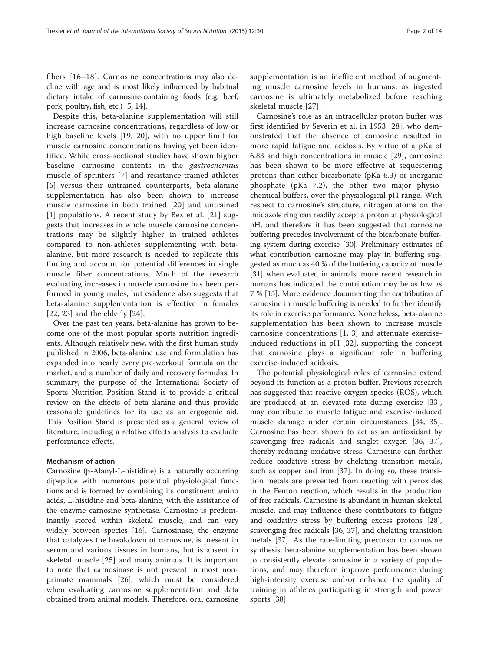fibers [\[16](#page-10-0)–[18\]](#page-10-0). Carnosine concentrations may also decline with age and is most likely influenced by habitual dietary intake of carnosine-containing foods (e.g. beef, pork, poultry, fish, etc.) [\[5, 14](#page-10-0)].

Despite this, beta-alanine supplementation will still increase carnosine concentrations, regardless of low or high baseline levels [\[19](#page-10-0), [20](#page-10-0)], with no upper limit for muscle carnosine concentrations having yet been identified. While cross-sectional studies have shown higher baseline carnosine contents in the gastrocnemius muscle of sprinters [[7](#page-10-0)] and resistance-trained athletes [[6](#page-10-0)] versus their untrained counterparts, beta-alanine supplementation has also been shown to increase muscle carnosine in both trained [\[20](#page-10-0)] and untrained [[1](#page-10-0)] populations. A recent study by Bex et al. [[21\]](#page-10-0) suggests that increases in whole muscle carnosine concentrations may be slightly higher in trained athletes compared to non-athletes supplementing with betaalanine, but more research is needed to replicate this finding and account for potential differences in single muscle fiber concentrations. Much of the research evaluating increases in muscle carnosine has been performed in young males, but evidence also suggests that beta-alanine supplementation is effective in females [[22](#page-10-0), [23](#page-11-0)] and the elderly [[24](#page-11-0)].

Over the past ten years, beta-alanine has grown to become one of the most popular sports nutrition ingredients. Although relatively new, with the first human study published in 2006, beta-alanine use and formulation has expanded into nearly every pre-workout formula on the market, and a number of daily and recovery formulas. In summary, the purpose of the International Society of Sports Nutrition Position Stand is to provide a critical review on the effects of beta-alanine and thus provide reasonable guidelines for its use as an ergogenic aid. This Position Stand is presented as a general review of literature, including a relative effects analysis to evaluate performance effects.

# Mechanism of action

Carnosine (β-Alanyl-L-histidine) is a naturally occurring dipeptide with numerous potential physiological functions and is formed by combining its constituent amino acids, L-histidine and beta-alanine, with the assistance of the enzyme carnosine synthetase. Carnosine is predominantly stored within skeletal muscle, and can vary widely between species [[16\]](#page-10-0). Carnosinase, the enzyme that catalyzes the breakdown of carnosine, is present in serum and various tissues in humans, but is absent in skeletal muscle [[25\]](#page-11-0) and many animals. It is important to note that carnosinase is not present in most nonprimate mammals [[26\]](#page-11-0), which must be considered when evaluating carnosine supplementation and data obtained from animal models. Therefore, oral carnosine

supplementation is an inefficient method of augmenting muscle carnosine levels in humans, as ingested carnosine is ultimately metabolized before reaching skeletal muscle [\[27\]](#page-11-0).

Carnosine's role as an intracellular proton buffer was first identified by Severin et al. in 1953 [[28\]](#page-11-0), who demonstrated that the absence of carnosine resulted in more rapid fatigue and acidosis. By virtue of a pKa of 6.83 and high concentrations in muscle [[29\]](#page-11-0), carnosine has been shown to be more effective at sequestering protons than either bicarbonate (pKa 6.3) or inorganic phosphate (pKa 7.2), the other two major physiochemical buffers, over the physiological pH range. With respect to carnosine's structure, nitrogen atoms on the imidazole ring can readily accept a proton at physiological pH, and therefore it has been suggested that carnosine buffering precedes involvement of the bicarbonate buffering system during exercise [\[30\]](#page-11-0). Preliminary estimates of what contribution carnosine may play in buffering suggested as much as 40 % of the buffering capacity of muscle [[31](#page-11-0)] when evaluated in animals; more recent research in humans has indicated the contribution may be as low as 7 % [[15](#page-10-0)]. More evidence documenting the contribution of carnosine in muscle buffering is needed to further identify its role in exercise performance. Nonetheless, beta-alanine supplementation has been shown to increase muscle carnosine concentrations [\[1](#page-10-0), [3](#page-10-0)] and attenuate exerciseinduced reductions in pH [[32](#page-11-0)], supporting the concept that carnosine plays a significant role in buffering exercise-induced acidosis.

The potential physiological roles of carnosine extend beyond its function as a proton buffer. Previous research has suggested that reactive oxygen species (ROS), which are produced at an elevated rate during exercise [\[33](#page-11-0)], may contribute to muscle fatigue and exercise-induced muscle damage under certain circumstances [[34, 35](#page-11-0)]. Carnosine has been shown to act as an antioxidant by scavenging free radicals and singlet oxygen [\[36](#page-11-0), [37](#page-11-0)], thereby reducing oxidative stress. Carnosine can further reduce oxidative stress by chelating transition metals, such as copper and iron [[37\]](#page-11-0). In doing so, these transition metals are prevented from reacting with peroxides in the Fenton reaction, which results in the production of free radicals. Carnosine is abundant in human skeletal muscle, and may influence these contributors to fatigue and oxidative stress by buffering excess protons [\[28](#page-11-0)], scavenging free radicals [[36, 37\]](#page-11-0), and chelating transition metals [\[37](#page-11-0)]. As the rate-limiting precursor to carnosine synthesis, beta-alanine supplementation has been shown to consistently elevate carnosine in a variety of populations, and may therefore improve performance during high-intensity exercise and/or enhance the quality of training in athletes participating in strength and power sports [[38](#page-11-0)].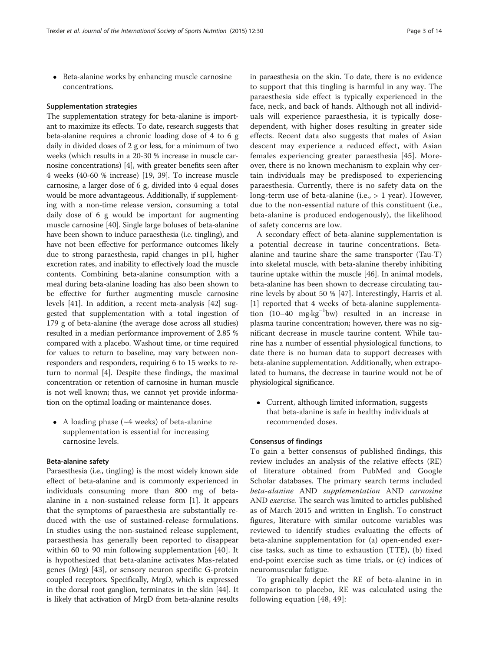• Beta-alanine works by enhancing muscle carnosine concentrations.

## Supplementation strategies

The supplementation strategy for beta-alanine is important to maximize its effects. To date, research suggests that beta-alanine requires a chronic loading dose of 4 to 6 g daily in divided doses of 2 g or less, for a minimum of two weeks (which results in a 20-30 % increase in muscle carnosine concentrations) [\[4\]](#page-10-0), with greater benefits seen after 4 weeks (40-60 % increase) [\[19,](#page-10-0) [39\]](#page-11-0). To increase muscle carnosine, a larger dose of 6 g, divided into 4 equal doses would be more advantageous. Additionally, if supplementing with a non-time release version, consuming a total daily dose of 6 g would be important for augmenting muscle carnosine [\[40\]](#page-11-0). Single large boluses of beta-alanine have been shown to induce paraesthesia (i.e. tingling), and have not been effective for performance outcomes likely due to strong paraesthesia, rapid changes in pH, higher excretion rates, and inability to effectively load the muscle contents. Combining beta-alanine consumption with a meal during beta-alanine loading has also been shown to be effective for further augmenting muscle carnosine levels [[41](#page-11-0)]. In addition, a recent meta-analysis [\[42](#page-11-0)] suggested that supplementation with a total ingestion of 179 g of beta-alanine (the average dose across all studies) resulted in a median performance improvement of 2.85 % compared with a placebo. Washout time, or time required for values to return to baseline, may vary between nonresponders and responders, requiring 6 to 15 weeks to return to normal [\[4\]](#page-10-0). Despite these findings, the maximal concentration or retention of carnosine in human muscle is not well known; thus, we cannot yet provide information on the optimal loading or maintenance doses.

• A loading phase  $({\sim}4$  weeks) of beta-alanine supplementation is essential for increasing carnosine levels.

# Beta-alanine safety

Paraesthesia (i.e., tingling) is the most widely known side effect of beta-alanine and is commonly experienced in individuals consuming more than 800 mg of betaalanine in a non-sustained release form [[1\]](#page-10-0). It appears that the symptoms of paraesthesia are substantially reduced with the use of sustained-release formulations. In studies using the non-sustained release supplement, paraesthesia has generally been reported to disappear within 60 to 90 min following supplementation [[40\]](#page-11-0). It is hypothesized that beta-alanine activates Mas-related genes (Mrg) [[43\]](#page-11-0), or sensory neuron specific G-protein coupled receptors. Specifically, MrgD, which is expressed in the dorsal root ganglion, terminates in the skin [\[44\]](#page-11-0). It is likely that activation of MrgD from beta-alanine results in paraesthesia on the skin. To date, there is no evidence to support that this tingling is harmful in any way. The paraesthesia side effect is typically experienced in the face, neck, and back of hands. Although not all individuals will experience paraesthesia, it is typically dosedependent, with higher doses resulting in greater side effects. Recent data also suggests that males of Asian descent may experience a reduced effect, with Asian females experiencing greater paraesthesia [[45](#page-11-0)]. Moreover, there is no known mechanism to explain why certain individuals may be predisposed to experiencing paraesthesia. Currently, there is no safety data on the long-term use of beta-alanine (i.e.,  $> 1$  year). However, due to the non-essential nature of this constituent (i.e., beta-alanine is produced endogenously), the likelihood of safety concerns are low.

A secondary effect of beta-alanine supplementation is a potential decrease in taurine concentrations. Betaalanine and taurine share the same transporter (Tau-T) into skeletal muscle, with beta-alanine thereby inhibiting taurine uptake within the muscle [[46](#page-11-0)]. In animal models, beta-alanine has been shown to decrease circulating taurine levels by about 50 % [\[47\]](#page-11-0). Interestingly, Harris et al. [[1\]](#page-10-0) reported that 4 weeks of beta-alanine supplementation (10–40 mg∙kg−<sup>1</sup> bw) resulted in an increase in plasma taurine concentration; however, there was no significant decrease in muscle taurine content. While taurine has a number of essential physiological functions, to date there is no human data to support decreases with beta-alanine supplementation. Additionally, when extrapolated to humans, the decrease in taurine would not be of physiological significance.

 Current, although limited information, suggests that beta-alanine is safe in healthy individuals at recommended doses.

# Consensus of findings

To gain a better consensus of published findings, this review includes an analysis of the relative effects (RE) of literature obtained from PubMed and Google Scholar databases. The primary search terms included beta-alanine AND supplementation AND carnosine AND exercise. The search was limited to articles published as of March 2015 and written in English. To construct figures, literature with similar outcome variables was reviewed to identify studies evaluating the effects of beta-alanine supplementation for (a) open-ended exercise tasks, such as time to exhaustion (TTE), (b) fixed end-point exercise such as time trials, or (c) indices of neuromuscular fatigue.

To graphically depict the RE of beta-alanine in in comparison to placebo, RE was calculated using the following equation [[48, 49](#page-11-0)]: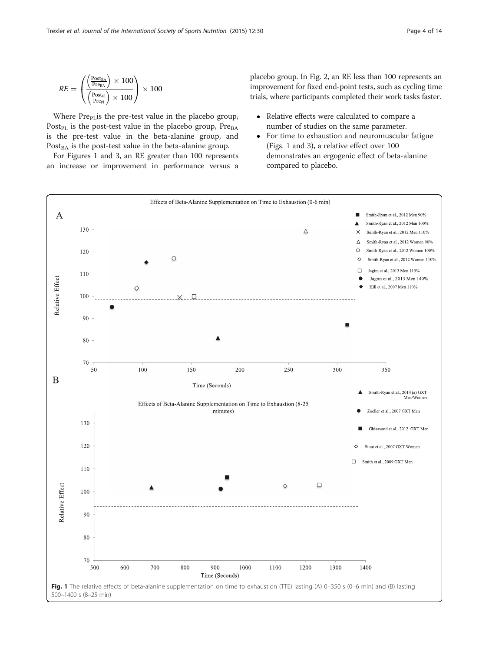<span id="page-3-0"></span>
$$
\textit{RE} = \left(\frac{\left(\frac{\textit{Post}_{\textit{BA}}}{\textit{Pre}_{\textit{BA}}}\right)\times 100}{\left(\frac{\textit{Post}_{\textit{PA}}}{\textit{Pre}_{\textit{PI}}}\right)\times 100}\right)\times 100
$$

Where  $Pre_{PI}$  is the pre-test value in the placebo group, Post<sub>PL</sub> is the post-test value in the placebo group,  $Pre<sub>BA</sub>$ is the pre-test value in the beta-alanine group, and Post<sub>BA</sub> is the post-test value in the beta-alanine group.

For Figures 1 and [3,](#page-4-0) an RE greater than 100 represents an increase or improvement in performance versus a placebo group. In Fig. [2,](#page-4-0) an RE less than 100 represents an improvement for fixed end-point tests, such as cycling time trials, where participants completed their work tasks faster.

- Relative effects were calculated to compare a number of studies on the same parameter.
- For time to exhaustion and neuromuscular fatigue (Figs. 1 and [3\)](#page-4-0), a relative effect over 100 demonstrates an ergogenic effect of beta-alanine compared to placebo.

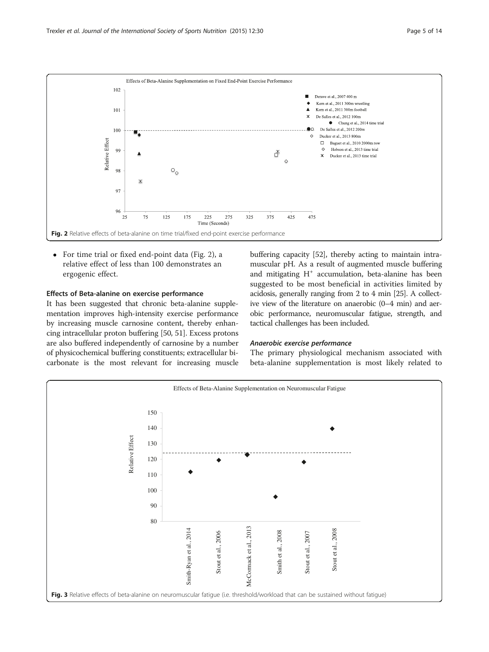<span id="page-4-0"></span>

 For time trial or fixed end-point data (Fig. 2), a relative effect of less than 100 demonstrates an ergogenic effect.

# Effects of Beta-alanine on exercise performance

It has been suggested that chronic beta-alanine supplementation improves high-intensity exercise performance by increasing muscle carnosine content, thereby enhancing intracellular proton buffering [[50](#page-11-0), [51\]](#page-11-0). Excess protons are also buffered independently of carnosine by a number of physicochemical buffering constituents; extracellular bicarbonate is the most relevant for increasing muscle buffering capacity [\[52\]](#page-11-0), thereby acting to maintain intramuscular pH. As a result of augmented muscle buffering and mitigating H+ accumulation, beta-alanine has been suggested to be most beneficial in activities limited by acidosis, generally ranging from 2 to 4 min [\[25\]](#page-11-0). A collective view of the literature on anaerobic (0–4 min) and aerobic performance, neuromuscular fatigue, strength, and tactical challenges has been included.

The primary physiological mechanism associated with beta-alanine supplementation is most likely related to

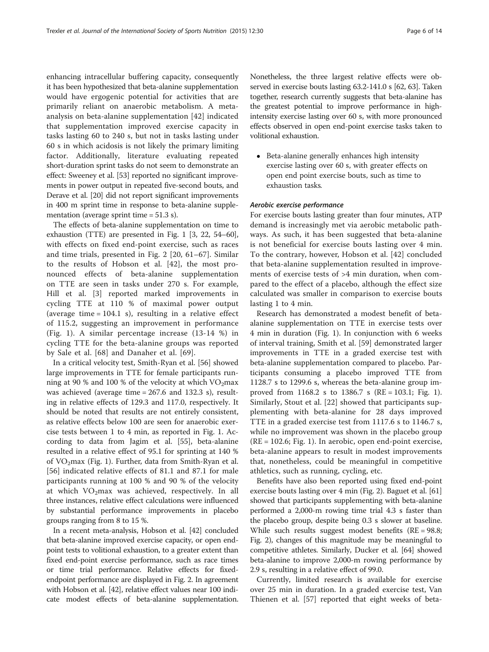enhancing intracellular buffering capacity, consequently it has been hypothesized that beta-alanine supplementation would have ergogenic potential for activities that are primarily reliant on anaerobic metabolism. A metaanalysis on beta-alanine supplementation [[42\]](#page-11-0) indicated that supplementation improved exercise capacity in tasks lasting 60 to 240 s, but not in tasks lasting under 60 s in which acidosis is not likely the primary limiting factor. Additionally, literature evaluating repeated short-duration sprint tasks do not seem to demonstrate an effect: Sweeney et al. [\[53\]](#page-11-0) reported no significant improvements in power output in repeated five-second bouts, and Derave et al. [\[20\]](#page-10-0) did not report significant improvements in 400 m sprint time in response to beta-alanine supplementation (average sprint time  $= 51.3$  s).

The effects of beta-alanine supplementation on time to exhaustion (TTE) are presented in Fig. [1](#page-3-0) [[3](#page-10-0), [22](#page-10-0), [54](#page-11-0)–[60](#page-11-0)], with effects on fixed end-point exercise, such as races and time trials, presented in Fig. [2](#page-4-0) [\[20](#page-10-0), [61](#page-11-0)–[67](#page-12-0)]. Similar to the results of Hobson et al. [\[42](#page-11-0)], the most pronounced effects of beta-alanine supplementation on TTE are seen in tasks under 270 s. For example, Hill et al. [\[3](#page-10-0)] reported marked improvements in cycling TTE at 110 % of maximal power output (average time = 104.1 s), resulting in a relative effect of 115.2, suggesting an improvement in performance (Fig. [1\)](#page-3-0). A similar percentage increase (13-14 %) in cycling TTE for the beta-alanine groups was reported by Sale et al. [[68\]](#page-12-0) and Danaher et al. [[69\]](#page-12-0).

In a critical velocity test, Smith-Ryan et al. [\[56\]](#page-11-0) showed large improvements in TTE for female participants running at 90 % and 100 % of the velocity at which  $VO<sub>2</sub>max$ was achieved (average time = 267.6 and 132.3 s), resulting in relative effects of 129.3 and 117.0, respectively. It should be noted that results are not entirely consistent, as relative effects below 100 are seen for anaerobic exercise tests between 1 to 4 min, as reported in Fig. [1](#page-3-0). According to data from Jagim et al. [\[55](#page-11-0)], beta-alanine resulted in a relative effect of 95.1 for sprinting at 140 % of  $VO<sub>2</sub>max$  (Fig. [1](#page-3-0)). Further, data from Smith-Ryan et al. [[56\]](#page-11-0) indicated relative effects of 81.1 and 87.1 for male participants running at 100 % and 90 % of the velocity at which  $VO<sub>2</sub>$  max was achieved, respectively. In all three instances, relative effect calculations were influenced by substantial performance improvements in placebo groups ranging from 8 to 15 %.

In a recent meta-analysis, Hobson et al. [\[42\]](#page-11-0) concluded that beta-alanine improved exercise capacity, or open endpoint tests to volitional exhaustion, to a greater extent than fixed end-point exercise performance, such as race times or time trial performance. Relative effects for fixedendpoint performance are displayed in Fig. [2](#page-4-0). In agreement with Hobson et al. [\[42\]](#page-11-0), relative effect values near 100 indicate modest effects of beta-alanine supplementation. Nonetheless, the three largest relative effects were observed in exercise bouts lasting 63.2-141.0 s [\[62](#page-11-0), [63\]](#page-11-0). Taken together, research currently suggests that beta-alanine has the greatest potential to improve performance in highintensity exercise lasting over 60 s, with more pronounced effects observed in open end-point exercise tasks taken to volitional exhaustion.

• Beta-alanine generally enhances high intensity exercise lasting over 60 s, with greater effects on open end point exercise bouts, such as time to exhaustion tasks.

For exercise bouts lasting greater than four minutes, ATP demand is increasingly met via aerobic metabolic pathways. As such, it has been suggested that beta-alanine is not beneficial for exercise bouts lasting over 4 min. To the contrary, however, Hobson et al. [\[42](#page-11-0)] concluded that beta-alanine supplementation resulted in improvements of exercise tests of >4 min duration, when compared to the effect of a placebo, although the effect size calculated was smaller in comparison to exercise bouts lasting 1 to 4 min.

Research has demonstrated a modest benefit of betaalanine supplementation on TTE in exercise tests over 4 min in duration (Fig. [1\)](#page-3-0). In conjunction with 6 weeks of interval training, Smith et al. [\[59\]](#page-11-0) demonstrated larger improvements in TTE in a graded exercise test with beta-alanine supplementation compared to placebo. Participants consuming a placebo improved TTE from 1128.7 s to 1299.6 s, whereas the beta-alanine group improved from 1168.2 s to 1386.7 s (RE = 103.1; Fig. [1](#page-3-0)). Similarly, Stout et al. [\[22](#page-10-0)] showed that participants supplementing with beta-alanine for 28 days improved TTE in a graded exercise test from 1117.6 s to 1146.7 s, while no improvement was shown in the placebo group (RE = 102.6; Fig. [1\)](#page-3-0). In aerobic, open end-point exercise, beta-alanine appears to result in modest improvements that, nonetheless, could be meaningful in competitive athletics, such as running, cycling, etc.

Benefits have also been reported using fixed end-point exercise bouts lasting over 4 min (Fig. [2](#page-4-0)). Baguet et al. [[61](#page-11-0)] showed that participants supplementing with beta-alanine performed a 2,000-m rowing time trial 4.3 s faster than the placebo group, despite being 0.3 s slower at baseline. While such results suggest modest benefits (RE = 98.8; Fig. [2](#page-4-0)), changes of this magnitude may be meaningful to competitive athletes. Similarly, Ducker et al. [\[64\]](#page-11-0) showed beta-alanine to improve 2,000-m rowing performance by 2.9 s, resulting in a relative effect of 99.0.

Currently, limited research is available for exercise over 25 min in duration. In a graded exercise test, Van Thienen et al. [[57\]](#page-11-0) reported that eight weeks of beta-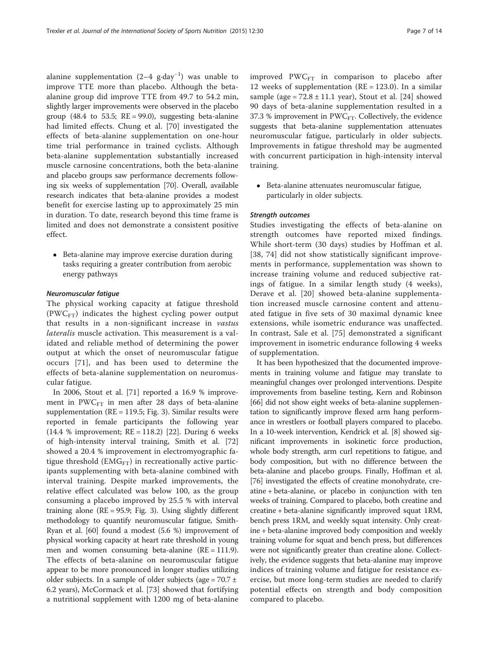alanine supplementation (2–4 g∙day $^{-1})$  was unable to improve TTE more than placebo. Although the betaalanine group did improve TTE from 49.7 to 54.2 min, slightly larger improvements were observed in the placebo group (48.4 to 53.5;  $RE = 99.0$ ), suggesting beta-alanine had limited effects. Chung et al. [[70\]](#page-12-0) investigated the effects of beta-alanine supplementation on one-hour time trial performance in trained cyclists. Although beta-alanine supplementation substantially increased muscle carnosine concentrations, both the beta-alanine and placebo groups saw performance decrements following six weeks of supplementation [\[70\]](#page-12-0). Overall, available research indicates that beta-alanine provides a modest benefit for exercise lasting up to approximately 25 min in duration. To date, research beyond this time frame is limited and does not demonstrate a consistent positive effect.

 Beta-alanine may improve exercise duration during tasks requiring a greater contribution from aerobic energy pathways

The physical working capacity at fatigue threshold  $(PWC_{FT})$  indicates the highest cycling power output that results in a non-significant increase in vastus lateralis muscle activation. This measurement is a validated and reliable method of determining the power output at which the onset of neuromuscular fatigue occurs [\[71\]](#page-12-0), and has been used to determine the effects of beta-alanine supplementation on neuromuscular fatigue.

In 2006, Stout et al. [\[71\]](#page-12-0) reported a 16.9 % improvement in  $PWC_{FT}$  in men after 28 days of beta-alanine supplementation ( $RE = 119.5$ ; Fig. [3](#page-4-0)). Similar results were reported in female participants the following year  $(14.4 %$  improvement;  $RE = 118.2$  [\[22](#page-10-0)]. During 6 weeks of high-intensity interval training, Smith et al. [[72](#page-12-0)] showed a 20.4 % improvement in electromyographic fatigue threshold ( $EMG<sub>FT</sub>$ ) in recreationally active participants supplementing with beta-alanine combined with interval training. Despite marked improvements, the relative effect calculated was below 100, as the group consuming a placebo improved by 25.5 % with interval training alone  $(RE = 95.9; Fig. 3)$  $(RE = 95.9; Fig. 3)$ . Using slightly different methodology to quantify neuromuscular fatigue, Smith-Ryan et al. [\[60](#page-11-0)] found a modest (5.6 %) improvement of physical working capacity at heart rate threshold in young men and women consuming beta-alanine  $(RE = 111.9)$ . The effects of beta-alanine on neuromuscular fatigue appear to be more pronounced in longer studies utilizing older subjects. In a sample of older subjects (age =  $70.7 \pm$ 6.2 years), McCormack et al. [[73\]](#page-12-0) showed that fortifying a nutritional supplement with 1200 mg of beta-alanine improved  $PWC_{FT}$  in comparison to placebo after 12 weeks of supplementation ( $RE = 123.0$ ). In a similar sample (age =  $72.8 \pm 11.1$  year), Stout et al. [[24\]](#page-11-0) showed 90 days of beta-alanine supplementation resulted in a 37.3 % improvement in  $PWC_{FT}$ . Collectively, the evidence suggests that beta-alanine supplementation attenuates neuromuscular fatigue, particularly in older subjects. Improvements in fatigue threshold may be augmented with concurrent participation in high-intensity interval training.

 Beta-alanine attenuates neuromuscular fatigue, particularly in older subjects.

Studies investigating the effects of beta-alanine on strength outcomes have reported mixed findings. While short-term (30 days) studies by Hoffman et al. [[38](#page-11-0), [74](#page-12-0)] did not show statistically significant improvements in performance, supplementation was shown to increase training volume and reduced subjective ratings of fatigue. In a similar length study (4 weeks), Derave et al. [[20\]](#page-10-0) showed beta-alanine supplementation increased muscle carnosine content and attenuated fatigue in five sets of 30 maximal dynamic knee extensions, while isometric endurance was unaffected. In contrast, Sale et al. [[75\]](#page-12-0) demonstrated a significant improvement in isometric endurance following 4 weeks of supplementation.

It has been hypothesized that the documented improvements in training volume and fatigue may translate to meaningful changes over prolonged interventions. Despite improvements from baseline testing, Kern and Robinson [[66](#page-11-0)] did not show eight weeks of beta-alanine supplementation to significantly improve flexed arm hang performance in wrestlers or football players compared to placebo. In a 10-week intervention, Kendrick et al. [[8\]](#page-10-0) showed significant improvements in isokinetic force production, whole body strength, arm curl repetitions to fatigue, and body composition, but with no difference between the beta-alanine and placebo groups. Finally, Hoffman et al. [[76](#page-12-0)] investigated the effects of creatine monohydrate, creatine + beta-alanine, or placebo in conjunction with ten weeks of training. Compared to placebo, both creatine and creatine + beta-alanine significantly improved squat 1RM, bench press 1RM, and weekly squat intensity. Only creatine + beta-alanine improved body composition and weekly training volume for squat and bench press, but differences were not significantly greater than creatine alone. Collectively, the evidence suggests that beta-alanine may improve indices of training volume and fatigue for resistance exercise, but more long-term studies are needed to clarify potential effects on strength and body composition compared to placebo.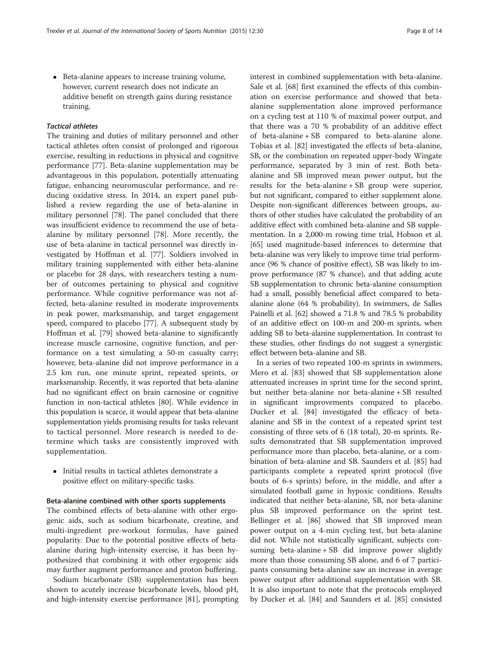• Beta-alanine appears to increase training volume, however, current research does not indicate an additive benefit on strength gains during resistance training.

# **Tactical athletes**

The training and duties of military personnel and other tactical athletes often consist of prolonged and rigorous exercise, resulting in reductions in physical and cognitive performance [\[77](#page-12-0)]. Beta-alanine supplementation may be advantageous in this population, potentially attenuating fatigue, enhancing neuromuscular performance, and reducing oxidative stress. In 2014, an expert panel published a review regarding the use of beta-alanine in military personnel [[78\]](#page-12-0). The panel concluded that there was insufficient evidence to recommend the use of betaalanine by military personnel [\[78](#page-12-0)]. More recently, the use of beta-alanine in tactical personnel was directly investigated by Hoffman et al. [[77](#page-12-0)]. Soldiers involved in military training supplemented with either beta-alanine or placebo for 28 days, with researchers testing a number of outcomes pertaining to physical and cognitive performance. While cognitive performance was not affected, beta-alanine resulted in moderate improvements in peak power, marksmanship, and target engagement speed, compared to placebo [[77\]](#page-12-0). A subsequent study by Hoffman et al. [[79](#page-12-0)] showed beta-alanine to significantly increase muscle carnosine, cognitive function, and performance on a test simulating a 50-m casualty carry; however, beta-alanine did not improve performance in a 2.5 km run, one minute sprint, repeated sprints, or marksmanship. Recently, it was reported that beta-alanine had no significant effect on brain carnosine or cognitive function in non-tactical athletes [\[80\]](#page-12-0). While evidence in this population is scarce, it would appear that beta-alanine supplementation yields promising results for tasks relevant to tactical personnel. More research is needed to determine which tasks are consistently improved with supplementation.

• Initial results in tactical athletes demonstrate a positive effect on military-specific tasks.

### Beta-alanine combined with other sports supplements

The combined effects of beta-alanine with other ergogenic aids, such as sodium bicarbonate, creatine, and multi-ingredient pre-workout formulas, have gained popularity. Due to the potential positive effects of betaalanine during high-intensity exercise, it has been hypothesized that combining it with other ergogenic aids may further augment performance and proton buffering.

Sodium bicarbonate (SB) supplementation has been shown to acutely increase bicarbonate levels, blood pH, and high-intensity exercise performance [[81\]](#page-12-0), prompting interest in combined supplementation with beta-alanine. Sale et al. [[68\]](#page-12-0) first examined the effects of this combination on exercise performance and showed that betaalanine supplementation alone improved performance on a cycling test at 110 % of maximal power output, and that there was a 70 % probability of an additive effect of beta-alanine + SB compared to beta-alanine alone. Tobias et al. [[82\]](#page-12-0) investigated the effects of beta-alanine, SB, or the combination on repeated upper-body Wingate performance, separated by 3 min of rest. Both betaalanine and SB improved mean power output, but the results for the beta-alanine + SB group were superior, but not significant, compared to either supplement alone. Despite non-significant differences between groups, authors of other studies have calculated the probability of an additive effect with combined beta-alanine and SB supplementation. In a 2,000-m rowing time trial, Hobson et al. [[65](#page-11-0)] used magnitude-based inferences to determine that beta-alanine was very likely to improve time trial performance (96 % chance of positive effect), SB was likely to improve performance (87 % chance), and that adding acute SB supplementation to chronic beta-alanine consumption had a small, possibly beneficial affect compared to betaalanine alone (64 % probability). In swimmers, de Salles Painelli et al. [\[62](#page-11-0)] showed a 71.8 % and 78.5 % probability of an additive effect on 100-m and 200-m sprints, when adding SB to beta-alanine supplementation. In contrast to these studies, other findings do not suggest a synergistic effect between beta-alanine and SB.

In a series of two repeated 100-m sprints in swimmers, Mero et al. [\[83](#page-12-0)] showed that SB supplementation alone attenuated increases in sprint time for the second sprint, but neither beta-alanine nor beta-alanine + SB resulted in significant improvements compared to placebo. Ducker et al. [\[84](#page-12-0)] investigated the efficacy of betaalanine and SB in the context of a repeated sprint test consisting of three sets of 6 (18 total), 20-m sprints. Results demonstrated that SB supplementation improved performance more than placebo, beta-alanine, or a combination of beta-alanine and SB. Saunders et al. [\[85](#page-12-0)] had participants complete a repeated sprint protocol (five bouts of 6-s sprints) before, in the middle, and after a simulated football game in hypoxic conditions. Results indicated that neither beta-alanine, SB, nor beta-alanine plus SB improved performance on the sprint test. Bellinger et al. [[86\]](#page-12-0) showed that SB improved mean power output on a 4-min cycling test, but beta-alanine did not. While not statistically significant, subjects consuming beta-alanine + SB did improve power slightly more than those consuming SB alone, and 6 of 7 participants consuming beta-alanine saw an increase in average power output after additional supplementation with SB. It is also important to note that the protocols employed by Ducker et al. [\[84](#page-12-0)] and Saunders et al. [[85\]](#page-12-0) consisted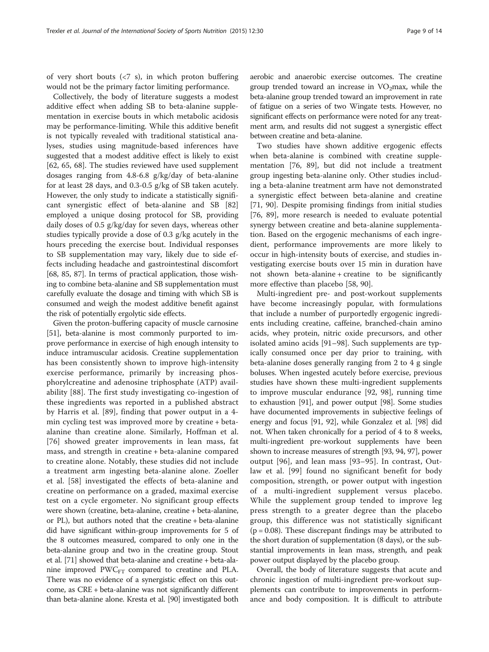of very short bouts  $\left( < 7 \right)$  s), in which proton buffering would not be the primary factor limiting performance.

Collectively, the body of literature suggests a modest additive effect when adding SB to beta-alanine supplementation in exercise bouts in which metabolic acidosis may be performance-limiting. While this additive benefit is not typically revealed with traditional statistical analyses, studies using magnitude-based inferences have suggested that a modest additive effect is likely to exist [[62, 65,](#page-11-0) [68](#page-12-0)]. The studies reviewed have used supplement dosages ranging from 4.8-6.8 g/kg/day of beta-alanine for at least 28 days, and 0.3-0.5 g/kg of SB taken acutely. However, the only study to indicate a statistically significant synergistic effect of beta-alanine and SB [[82](#page-12-0)] employed a unique dosing protocol for SB, providing daily doses of 0.5 g/kg/day for seven days, whereas other studies typically provide a dose of 0.3 g/kg acutely in the hours preceding the exercise bout. Individual responses to SB supplementation may vary, likely due to side effects including headache and gastrointestinal discomfort [[68](#page-12-0), [85](#page-12-0), [87\]](#page-12-0). In terms of practical application, those wishing to combine beta-alanine and SB supplementation must carefully evaluate the dosage and timing with which SB is consumed and weigh the modest additive benefit against the risk of potentially ergolytic side effects.

Given the proton-buffering capacity of muscle carnosine [[51](#page-11-0)], beta-alanine is most commonly purported to improve performance in exercise of high enough intensity to induce intramuscular acidosis. Creatine supplementation has been consistently shown to improve high-intensity exercise performance, primarily by increasing phosphorylcreatine and adenosine triphosphate (ATP) availability [[88\]](#page-12-0). The first study investigating co-ingestion of these ingredients was reported in a published abstract by Harris et al. [[89](#page-12-0)], finding that power output in a 4 min cycling test was improved more by creatine + betaalanine than creatine alone. Similarly, Hoffman et al. [[76\]](#page-12-0) showed greater improvements in lean mass, fat mass, and strength in creatine + beta-alanine compared to creatine alone. Notably, these studies did not include a treatment arm ingesting beta-alanine alone. Zoeller et al. [[58](#page-11-0)] investigated the effects of beta-alanine and creatine on performance on a graded, maximal exercise test on a cycle ergometer. No significant group effects were shown (creatine, beta-alanine, creatine + beta-alanine, or PL), but authors noted that the creatine + beta-alanine did have significant within-group improvements for 5 of the 8 outcomes measured, compared to only one in the beta-alanine group and two in the creatine group. Stout et al. [\[71\]](#page-12-0) showed that beta-alanine and creatine + beta-alanine improved  $PWC_{FT}$  compared to creatine and PLA. There was no evidence of a synergistic effect on this outcome, as CRE + beta-alanine was not significantly different than beta-alanine alone. Kresta et al. [\[90\]](#page-12-0) investigated both aerobic and anaerobic exercise outcomes. The creatine group trended toward an increase in  $VO<sub>2</sub>$ max, while the beta-alanine group trended toward an improvement in rate of fatigue on a series of two Wingate tests. However, no significant effects on performance were noted for any treatment arm, and results did not suggest a synergistic effect between creatine and beta-alanine.

Two studies have shown additive ergogenic effects when beta-alanine is combined with creatine supplementation [[76](#page-12-0), [89](#page-12-0)], but did not include a treatment group ingesting beta-alanine only. Other studies including a beta-alanine treatment arm have not demonstrated a synergistic effect between beta-alanine and creatine [[71, 90\]](#page-12-0). Despite promising findings from initial studies [[76, 89](#page-12-0)], more research is needed to evaluate potential synergy between creatine and beta-alanine supplementation. Based on the ergogenic mechanisms of each ingredient, performance improvements are more likely to occur in high-intensity bouts of exercise, and studies investigating exercise bouts over 15 min in duration have not shown beta-alanine + creatine to be significantly more effective than placebo [\[58,](#page-11-0) [90\]](#page-12-0).

Multi-ingredient pre- and post-workout supplements have become increasingly popular, with formulations that include a number of purportedly ergogenic ingredients including creatine, caffeine, branched-chain amino acids, whey protein, nitric oxide precursors, and other isolated amino acids [[91](#page-12-0)–[98](#page-12-0)]. Such supplements are typically consumed once per day prior to training, with beta-alanine doses generally ranging from 2 to 4 g single boluses. When ingested acutely before exercise, previous studies have shown these multi-ingredient supplements to improve muscular endurance [[92](#page-12-0), [98\]](#page-12-0), running time to exhaustion [[91](#page-12-0)], and power output [\[98\]](#page-12-0). Some studies have documented improvements in subjective feelings of energy and focus [[91](#page-12-0), [92\]](#page-12-0), while Gonzalez et al. [\[98\]](#page-12-0) did not. When taken chronically for a period of 4 to 8 weeks, multi-ingredient pre-workout supplements have been shown to increase measures of strength [[93](#page-12-0), [94, 97](#page-12-0)], power output [\[96](#page-12-0)], and lean mass [[93](#page-12-0)–[95](#page-12-0)]. In contrast, Outlaw et al. [[99\]](#page-12-0) found no significant benefit for body composition, strength, or power output with ingestion of a multi-ingredient supplement versus placebo. While the supplement group tended to improve leg press strength to a greater degree than the placebo group, this difference was not statistically significant  $(p = 0.08)$ . These discrepant findings may be attributed to the short duration of supplementation (8 days), or the substantial improvements in lean mass, strength, and peak power output displayed by the placebo group.

Overall, the body of literature suggests that acute and chronic ingestion of multi-ingredient pre-workout supplements can contribute to improvements in performance and body composition. It is difficult to attribute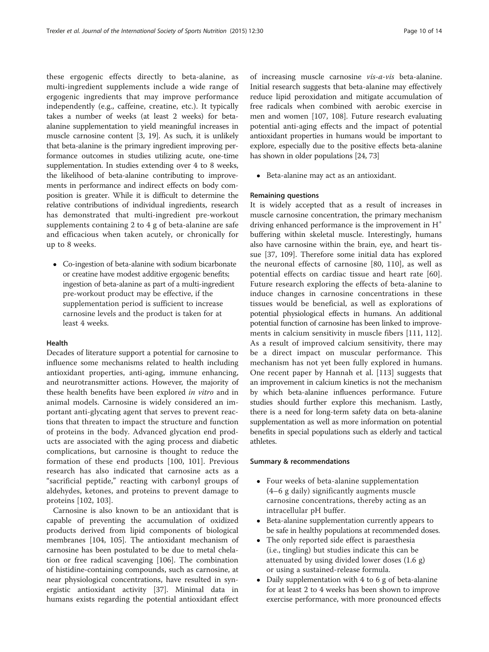these ergogenic effects directly to beta-alanine, as multi-ingredient supplements include a wide range of ergogenic ingredients that may improve performance independently (e.g., caffeine, creatine, etc.). It typically takes a number of weeks (at least 2 weeks) for betaalanine supplementation to yield meaningful increases in muscle carnosine content [\[3](#page-10-0), [19](#page-10-0)]. As such, it is unlikely that beta-alanine is the primary ingredient improving performance outcomes in studies utilizing acute, one-time supplementation. In studies extending over 4 to 8 weeks, the likelihood of beta-alanine contributing to improvements in performance and indirect effects on body composition is greater. While it is difficult to determine the relative contributions of individual ingredients, research has demonstrated that multi-ingredient pre-workout supplements containing 2 to 4 g of beta-alanine are safe and efficacious when taken acutely, or chronically for up to 8 weeks.

 Co-ingestion of beta-alanine with sodium bicarbonate or creatine have modest additive ergogenic benefits; ingestion of beta-alanine as part of a multi-ingredient pre-workout product may be effective, if the supplementation period is sufficient to increase carnosine levels and the product is taken for at least 4 weeks.

# Health

Decades of literature support a potential for carnosine to influence some mechanisms related to health including antioxidant properties, anti-aging, immune enhancing, and neurotransmitter actions. However, the majority of these health benefits have been explored in vitro and in animal models. Carnosine is widely considered an important anti-glycating agent that serves to prevent reactions that threaten to impact the structure and function of proteins in the body. Advanced glycation end products are associated with the aging process and diabetic complications, but carnosine is thought to reduce the formation of these end products [\[100](#page-12-0), [101\]](#page-12-0). Previous research has also indicated that carnosine acts as a "sacrificial peptide," reacting with carbonyl groups of aldehydes, ketones, and proteins to prevent damage to proteins [[102](#page-13-0), [103](#page-13-0)].

Carnosine is also known to be an antioxidant that is capable of preventing the accumulation of oxidized products derived from lipid components of biological membranes [\[104, 105\]](#page-13-0). The antioxidant mechanism of carnosine has been postulated to be due to metal chelation or free radical scavenging [[106\]](#page-13-0). The combination of histidine-containing compounds, such as carnosine, at near physiological concentrations, have resulted in synergistic antioxidant activity [[37\]](#page-11-0). Minimal data in humans exists regarding the potential antioxidant effect of increasing muscle carnosine vis-a-vis beta-alanine. Initial research suggests that beta-alanine may effectively reduce lipid peroxidation and mitigate accumulation of free radicals when combined with aerobic exercise in men and women [[107, 108\]](#page-13-0). Future research evaluating potential anti-aging effects and the impact of potential antioxidant properties in humans would be important to explore, especially due to the positive effects beta-alanine has shown in older populations [\[24,](#page-11-0) [73](#page-12-0)]

Beta-alanine may act as an antioxidant.

# Remaining questions

It is widely accepted that as a result of increases in muscle carnosine concentration, the primary mechanism driving enhanced performance is the improvement in  $H^+$ buffering within skeletal muscle. Interestingly, humans also have carnosine within the brain, eye, and heart tissue [[37](#page-11-0), [109\]](#page-13-0). Therefore some initial data has explored the neuronal effects of carnosine [[80,](#page-12-0) [110](#page-13-0)], as well as potential effects on cardiac tissue and heart rate [\[60](#page-11-0)]. Future research exploring the effects of beta-alanine to induce changes in carnosine concentrations in these tissues would be beneficial, as well as explorations of potential physiological effects in humans. An additional potential function of carnosine has been linked to improvements in calcium sensitivity in muscle fibers [[111, 112](#page-13-0)]. As a result of improved calcium sensitivity, there may be a direct impact on muscular performance. This mechanism has not yet been fully explored in humans. One recent paper by Hannah et al. [[113\]](#page-13-0) suggests that an improvement in calcium kinetics is not the mechanism by which beta-alanine influences performance. Future studies should further explore this mechanism. Lastly, there is a need for long-term safety data on beta-alanine supplementation as well as more information on potential benefits in special populations such as elderly and tactical athletes.

## Summary & recommendations

- Four weeks of beta-alanine supplementation (4–6 g daily) significantly augments muscle carnosine concentrations, thereby acting as an intracellular pH buffer.
- Beta-alanine supplementation currently appears to be safe in healthy populations at recommended doses.
- The only reported side effect is paraesthesia (i.e., tingling) but studies indicate this can be attenuated by using divided lower doses (1.6 g) or using a sustained-release formula.
- Daily supplementation with 4 to 6 g of beta-alanine for at least 2 to 4 weeks has been shown to improve exercise performance, with more pronounced effects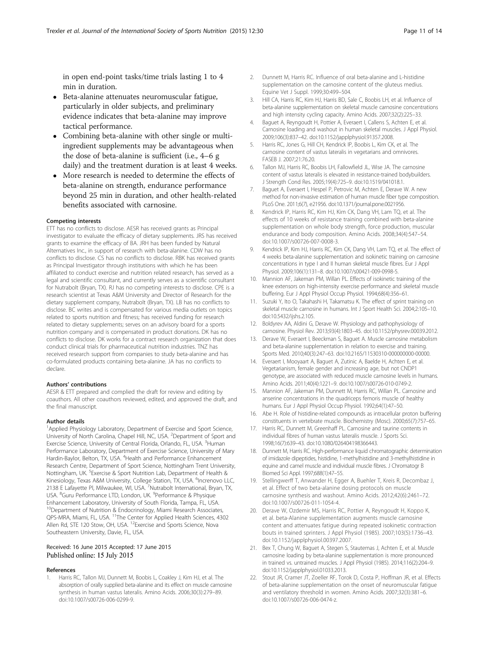<span id="page-10-0"></span>in open end-point tasks/time trials lasting 1 to 4 min in duration.

- Beta-alanine attenuates neuromuscular fatigue, particularly in older subjects, and preliminary evidence indicates that beta-alanine may improve tactical performance.
- Combining beta-alanine with other single or multiingredient supplements may be advantageous when the dose of beta-alanine is sufficient (i.e., 4–6 g daily) and the treatment duration is at least 4 weeks.
- More research is needed to determine the effects of beta-alanine on strength, endurance performance beyond 25 min in duration, and other health-related benefits associated with carnosine.

## Competing interests

ETT has no conflicts to disclose. AESR has received grants as Principal investigator to evaluate the efficacy of dietary supplements. JRS has received grants to examine the efficacy of BA. JRH has been funded by Natural Alternatives Inc., in support of research with beta-alanine. CDW has no conflicts to disclose. CS has no conflicts to disclose. RBK has received grants as Principal Investigator through institutions with which he has been affiliated to conduct exercise and nutrition related research, has served as a legal and scientific consultant, and currently serves as a scientific consultant for Nutrabolt (Bryan, TX). RJ has no competing interests to disclose. CPE is a research scientist at Texas A&M University and Director of Research for the dietary supplement company, Nutrabolt (Bryan, TX). LB has no conflicts to disclose. BC writes and is compensated for various media outlets on topics related to sports nutrition and fitness; has received funding for research related to dietary supplements; serves on an advisory board for a sports nutrition company and is compensated in product donations. DK has no conflicts to disclose. DK works for a contract research organization that does conduct clinical trials for pharmaceutical nutrition industries. TNZ has received research support from companies to study beta-alanine and has co-formulated products containing beta-alanine. JA has no conflicts to declare.

### Authors' contributions

AESR & ETT prepared and complied the draft for review and editing by coauthors. All other coauthors reviewed, edited, and approved the draft, and the final manuscript.

### Author details

<sup>1</sup>Applied Physiology Laboratory, Department of Exercise and Sport Science, University of North Carolina, Chapel Hill, NC, USA. <sup>2</sup> Department of Sport and Exercise Science, University of Central Florida, Orlando, FL, USA. <sup>3</sup>Human Performance Laboratory, Department of Exercise Science, University of Mary Hardin-Baylor, Belton, TX, USA. <sup>4</sup> Health and Performance Enhancement Research Centre, Department of Sport Science, Nottingham Trent University, Nottingham, UK. <sup>5</sup> Exercise & Sport Nutrition Lab, Department of Health & Kinesiology, Texas A&M University, College Station, TX, USA. <sup>6</sup>Increnovo LLC, 2138 E Lafayette Pl, Milwaukee, WI, USA. 7Nutrabolt International, Bryan, TX, USA. <sup>8</sup>Guru Performance LTD, London, UK. <sup>9</sup>Performance & Physique Enhancement Laboratory, University of South Florida, Tampa, FL, USA. <sup>10</sup>Department of Nutrition & Endocrinology, Miami Research Associates, QPS-MRA, Miami, FL, USA. 11The Center for Applied Health Sciences, 4302 Allen Rd, STE 120 Stow, OH, USA. <sup>12</sup>Exercise and Sports Science, Nova Southeastern University, Davie, FL, USA.

## Received: 16 June 2015 Accepted: 17 June 2015 Published online: 15 July 2015

### References

Harris RC, Tallon MJ, Dunnett M, Boobis L, Coakley J, Kim HJ, et al. The absorption of orally supplied beta-alanine and its effect on muscle carnosine synthesis in human vastus lateralis. Amino Acids. 2006;30(3):279–89. doi[:10.1007/s00726-006-0299-9](http://dx.doi.org/10.1007/s00726-006-0299-9).

- 2. Dunnett M, Harris RC. Influence of oral beta-alanine and L-histidine supplementation on the carnosine content of the gluteus medius. Equine Vet J Suppl. 1999;30:499–504.
- 3. Hill CA, Harris RC, Kim HJ, Harris BD, Sale C, Boobis LH, et al. Influence of beta-alanine supplementation on skeletal muscle carnosine concentrations and high intensity cycling capacity. Amino Acids. 2007;32(2):225–33.
- 4. Baguet A, Reyngoudt H, Pottier A, Everaert I, Callens S, Achten E, et al. Carnosine loading and washout in human skeletal muscles. J Appl Physiol. 2009;106(3):837–42. doi[:10.1152/japplphysiol.91357.2008.](http://dx.doi.org/10.1152/japplphysiol.91357.2008)
- 5. Harris RC, Jones G, Hill CH, Kendrick IP, Boobis L, Kim CK, et al. The carnosine content of vastus lateralis in vegetarians and omnivores. FASEB J. 2007;21:76.20.
- 6. Tallon MJ, Harris RC, Boobis LH, Fallowfield JL, Wise JA. The carnosine content of vastus lateralis is elevated in resistance-trained bodybuilders. J Strength Cond Res. 2005;19(4):725–9. doi[:10.1519/041018.1](http://dx.doi.org/10.1519/041018.1).
- 7. Baguet A, Everaert I, Hespel P, Petrovic M, Achten E, Derave W. A new method for non-invasive estimation of human muscle fiber type composition. PLoS One. 2011;6(7), e21956. doi[:10.1371/journal.pone.0021956.](http://dx.doi.org/10.1371/journal.pone.0021956)
- 8. Kendrick IP, Harris RC, Kim HJ, Kim CK, Dang VH, Lam TQ, et al. The effects of 10 weeks of resistance training combined with beta-alanine supplementation on whole body strength, force production, muscular endurance and body composition. Amino Acids. 2008;34(4):547–54. doi:[10.1007/s00726-007-0008-3.](http://dx.doi.org/10.1007/s00726-007-0008-3)
- 9. Kendrick IP, Kim HJ, Harris RC, Kim CK, Dang VH, Lam TQ, et al. The effect of 4 weeks beta-alanine supplementation and isokinetic training on carnosine concentrations in type I and II human skeletal muscle fibres. Eur J Appl Physiol. 2009;106(1):131–8. doi[:10.1007/s00421-009-0998-5](http://dx.doi.org/10.1007/s00421-009-0998-5).
- 10. Mannion AF, Jakeman PM, Willan PL. Effects of isokinetic training of the knee extensors on high-intensity exercise performance and skeletal muscle buffering. Eur J Appl Physiol Occup Physiol. 1994;68(4):356–61.
- 11. Suzuki Y, Ito O, Takahashi H, Takamatsu K. The effect of sprint training on skeletal muscle carnosine in humans. Int J Sport Health Sci. 2004;2:105–10. doi[:10.5432/ijshs.2.105](http://dx.doi.org/10.5432/ijshs.2.105).
- 12. Boldyrev AA, Aldini G, Derave W. Physiology and pathophysiology of carnosine. Physiol Rev. 2013;93(4):1803–45. doi[:10.1152/physrev.00039.2012.](http://dx.doi.org/10.1152/physrev.00039.2012)
- 13. Derave W, Everaert I, Beeckman S, Baguet A. Muscle carnosine metabolism and beta-alanine supplementation in relation to exercise and training. Sports Med. 2010;40(3):247–63. doi:[10.2165/11530310-000000000-00000](http://dx.doi.org/10.2165/11530310-000000000-00000).
- 14. Everaert I, Mooyaart A, Baguet A, Zutinic A, Baelde H, Achten E, et al. Vegetarianism, female gender and increasing age, but not CNDP1 genotype, are associated with reduced muscle carnosine levels in humans. Amino Acids. 2011;40(4):1221–9. doi:[10.1007/s00726-010-0749-2.](http://dx.doi.org/10.1007/s00726-010-0749-2)
- 15. Mannion AF, Jakeman PM, Dunnett M, Harris RC, Willan PL. Carnosine and anserine concentrations in the quadriceps femoris muscle of healthy humans. Eur J Appl Physiol Occup Physiol. 1992;64(1):47–50.
- 16. Abe H. Role of histidine-related compounds as intracellular proton buffering constituents in vertebrate muscle. Biochemistry (Mosc). 2000;65(7):757–65.
- 17. Harris RC, Dunnett M, Greenhaff PL. Carnosine and taurine contents in individual fibres of human vastus lateralis muscle. J Sports Sci. 1998;16(7):639–43. doi:[10.1080/026404198366443](http://dx.doi.org/10.1080/026404198366443).
- 18. Dunnett M, Harris RC. High-performance liquid chromatographic determination of imidazole dipeptides, histidine, 1-methylhistidine and 3-methylhistidine in equine and camel muscle and individual muscle fibres. J Chromatogr B Biomed Sci Appl. 1997;688(1):47–55.
- 19. Stellingwerff T, Anwander H, Egger A, Buehler T, Kreis R, Decombaz J, et al. Effect of two beta-alanine dosing protocols on muscle carnosine synthesis and washout. Amino Acids. 2012;42(6):2461–72. doi:[10.1007/s00726-011-1054-4.](http://dx.doi.org/10.1007/s00726-011-1054-4)
- 20. Derave W, Ozdemir MS, Harris RC, Pottier A, Reyngoudt H, Koppo K, et al. beta-Alanine supplementation augments muscle carnosine content and attenuates fatigue during repeated isokinetic contraction bouts in trained sprinters. J Appl Physiol (1985). 2007;103(5):1736–43. doi:[10.1152/japplphysiol.00397.2007.](http://dx.doi.org/10.1152/japplphysiol.00397.2007)
- 21. Bex T, Chung W, Baguet A, Stegen S, Stautemas J, Achten E, et al. Muscle carnosine loading by beta-alanine supplementation is more pronounced in trained vs. untrained muscles. J Appl Physiol (1985). 2014;116(2):204–9. doi[:10.1152/japplphysiol.01033.2013](http://dx.doi.org/10.1152/japplphysiol.01033.2013).
- 22. Stout JR, Cramer JT, Zoeller RF, Torok D, Costa P, Hoffman JR, et al. Effects of beta-alanine supplementation on the onset of neuromuscular fatigue and ventilatory threshold in women. Amino Acids. 2007;32(3):381–6. doi[:10.1007/s00726-006-0474-z.](http://dx.doi.org/10.1007/s00726-006-0474-z)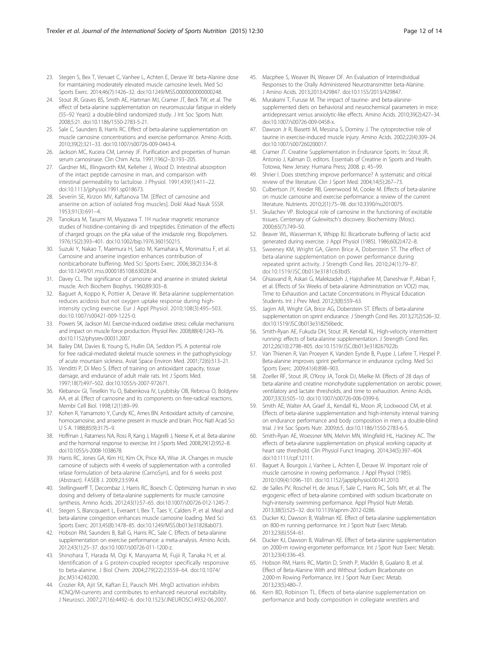- <span id="page-11-0"></span>23. Stegen S, Bex T, Vervaet C, Vanhee L, Achten E, Derave W. beta-Alanine dose for maintaining moderately elevated muscle carnosine levels. Med Sci Sports Exerc. 2014;46(7):1426–32. doi[:10.1249/MSS.0000000000000248](http://dx.doi.org/10.1249/MSS.0000000000000248).
- 24. Stout JR, Graves BS, Smith AE, Hartman MJ, Cramer JT, Beck TW, et al. The effect of beta-alanine supplementation on neuromuscular fatigue in elderly (55–92 Years): a double-blind randomized study. J Int Soc Sports Nutr. 2008;5:21. doi:[10.1186/1550-2783-5-21](http://dx.doi.org/10.1186/1550-2783-5-21).
- 25. Sale C, Saunders B, Harris RC. Effect of beta-alanine supplementation on muscle carnosine concentrations and exercise performance. Amino Acids. 2010;39(2):321–33. doi:[10.1007/s00726-009-0443-4](http://dx.doi.org/10.1007/s00726-009-0443-4).
- 26. Jackson MC, Kucera CM, Lenney JF. Purification and properties of human serum carnosinase. Clin Chim Acta. 1991;196(2–3):193–205.
- 27. Gardner ML, Illingworth KM, Kelleher J, Wood D. Intestinal absorption of the intact peptide carnosine in man, and comparison with intestinal permeability to lactulose. J Physiol. 1991;439(1):411–22. doi[:10.1113/jphysiol.1991.sp018673](http://dx.doi.org/10.1113/jphysiol.1991.sp018673).
- 28. Severin SE, Kirzon MV, Kaftanova TM. [Effect of carnosine and anserine on action of isolated frog muscles]. Dokl Akad Nauk SSSR. 1953;91(3):691–4.
- 29. Tanokura M, Tasumi M, Miyazawa T. 1H nuclear magnetic resonance studies of histidine-containing di- and tripeptides. Estimation of the effects of charged groups on the pKa value of the imidazole ring. Biopolymers. 1976;15(2):393–401. doi[:10.1002/bip.1976.360150215](http://dx.doi.org/10.1002/bip.1976.360150215).
- 30. Suzuki Y, Nakao T, Maemura H, Sato M, Kamahara K, Morimatsu F, et al. Carnosine and anserine ingestion enhances contribution of nonbicarbonate buffering. Med Sci Sports Exerc. 2006;38(2):334–8. doi[:10.1249/01.mss.0000185108.63028.04](http://dx.doi.org/10.1249/01.mss.0000185108.63028.04).
- 31. Davey CL. The significance of carnosine and anserine in striated skeletal muscle. Arch Biochem Biophys. 1960;89:303–8.
- 32. Baguet A, Koppo K, Pottier A, Derave W. Beta-alanine supplementation reduces acidosis but not oxygen uptake response during highintensity cycling exercise. Eur J Appl Physiol. 2010;108(3):495–503. doi:[10.1007/s00421-009-1225-0.](http://dx.doi.org/10.1007/s00421-009-1225-0)
- 33. Powers SK, Jackson MJ. Exercise-induced oxidative stress: cellular mechanisms and impact on muscle force production. Physiol Rev. 2008;88(4):1243–76. doi:[10.1152/physrev.00031.2007](http://dx.doi.org/10.1152/physrev.00031.2007).
- 34. Bailey DM, Davies B, Young IS, Hullin DA, Seddon PS. A potential role for free radical-mediated skeletal muscle soreness in the pathophysiology of acute mountain sickness. Aviat Space Environ Med. 2001;72(6):513–21.
- 35. Venditti P, Di Meo S. Effect of training on antioxidant capacity, tissue damage, and endurance of adult male rats. Int J Sports Med. 1997;18(7):497–502. doi[:10.1055/s-2007-972671](http://dx.doi.org/10.1055/s-2007-972671).
- 36. Klebanov GI, Teselkin Yu O, Babenkova IV, Lyubitsky OB, Rebrova O, Boldyrev AA, et al. Effect of carnosine and its components on free-radical reactions. Membr Cell Biol. 1998;12(1):89–99.
- 37. Kohen R, Yamamoto Y, Cundy KC, Ames BN. Antioxidant activity of carnosine, homocarnosine, and anserine present in muscle and brain. Proc Natl Acad Sci U S A. 1988;85(9):3175–9.
- 38. Hoffman J, Ratamess NA, Ross R, Kang J, Magrelli J, Neese K, et al. Beta-alanine and the hormonal response to exercise. Int J Sports Med. 2008;29(12):952–8. doi:[10.1055/s-2008-1038678.](http://dx.doi.org/10.1055/s-2008-1038678)
- 39. Harris RC, Jones GA, Kim HJ, Kim CK, Price KA, Wise JA. Changes in muscle carnosine of subjects with 4 weeks of supplementation with a controlled relase formulation of beta-alanine (CarnoSyn), and for 6 weeks post (Abstract). FASEB J. 2009;23:599.4.
- 40. Stellingwerff T, Decombaz J, Harris RC, Boesch C. Optimizing human in vivo dosing and delivery of beta-alanine supplements for muscle carnosine synthesis. Amino Acids. 2012;43(1):57–65. doi[:10.1007/s00726-012-1245-7](http://dx.doi.org/10.1007/s00726-012-1245-7).
- 41. Stegen S, Blancquaert L, Everaert I, Bex T, Taes Y, Calders P, et al. Meal and beta-alanine coingestion enhances muscle carnosine loading. Med Sci Sports Exerc. 2013;45(8):1478–85. doi[:10.1249/MSS.0b013e31828ab073](http://dx.doi.org/10.1249/MSS.0b013e31828ab073).
- 42. Hobson RM, Saunders B, Ball G, Harris RC, Sale C. Effects of beta-alanine supplementation on exercise performance: a meta-analysis. Amino Acids. 2012;43(1):25–37. doi[:10.1007/s00726-011-1200-z](http://dx.doi.org/10.1007/s00726-011-1200-z).
- 43. Shinohara T, Harada M, Ogi K, Maruyama M, Fujii R, Tanaka H, et al. Identification of a G protein-coupled receptor specifically responsive to beta-alanine. J Biol Chem. 2004;279(22):23559–64. doi[:10.1074/](http://dx.doi.org/10.1074/jbc.M314240200) [jbc.M314240200.](http://dx.doi.org/10.1074/jbc.M314240200)
- 44. Crozier RA, Ajit SK, Kaftan EJ, Pausch MH. MrgD activation inhibits KCNQ/M-currents and contributes to enhanced neuronal excitability. J Neurosci. 2007;27(16):4492–6. doi:[10.1523/JNEUROSCI.4932-06.2007.](http://dx.doi.org/10.1523/JNEUROSCI.4932-06.2007)
- 45. Macphee S, Weaver IN, Weaver DF. An Evaluation of Interindividual Responses to the Orally Administered Neurotransmitter beta-Alanine. J Amino Acids. 2013;2013:429847. doi:[10.1155/2013/429847](http://dx.doi.org/10.1155/2013/429847).
- 46. Murakami T, Furuse M. The impact of taurine- and beta-alaninesupplemented diets on behavioral and neurochemical parameters in mice: antidepressant versus anxiolytic-like effects. Amino Acids. 2010;39(2):427–34. doi[:10.1007/s00726-009-0458-x.](http://dx.doi.org/10.1007/s00726-009-0458-x)
- 47. Dawson Jr R, Biasetti M, Messina S, Dominy J. The cytoprotective role of taurine in exercise-induced muscle injury. Amino Acids. 2002;22(4):309–24. doi[:10.1007/s007260200017.](http://dx.doi.org/10.1007/s007260200017)
- 48. Cramer JT. Creatine Supplementation in Endurance Sports. In: Stout JR, Antonio J, Kalman D, editors. Essentials of Creatine in Sports and Health. Totowa, New Jersey: Humana Press; 2008. p. 45–99.
- 49. Shrier I. Does stretching improve performance? A systematic and critical review of the literature. Clin J Sport Med. 2004;14(5):267–73.
- 50. Culbertson JY, Kreider RB, Greenwood M, Cooke M. Effects of beta-alanine on muscle carnosine and exercise performance: a review of the current literature. Nutrients. 2010;2(1):75–98. doi:[10.3390/nu2010075](http://dx.doi.org/10.3390/nu2010075).
- 51. Skulachev VP. Biological role of carnosine in the functioning of excitable tissues. Centenary of Gulewitsch's discovery. Biochemistry (Mosc). 2000;65(7):749–50.
- 52. Beaver WL, Wasserman K, Whipp BJ. Bicarbonate buffering of lactic acid generated during exercise. J Appl Physiol (1985). 1986;60(2):472–8.
- 53. Sweeney KM, Wright GA, Glenn Brice A, Doberstein ST. The effect of beta-alanine supplementation on power performance during repeated sprint activity. J Strength Cond Res. 2010;24(1):79–87. doi:[10.1519/JSC.0b013e3181c63bd5.](http://dx.doi.org/10.1519/JSC.0b013e3181c63bd5)
- 54. Ghiasvand R, Askari G, Malekzadeh J, Hajishafiee M, Daneshvar P, Akbari F, et al. Effects of Six Weeks of beta-alanine Administration on VO(2) max, Time to Exhaustion and Lactate Concentrations in Physical Education Students. Int J Prev Med. 2012;3(8):559–63.
- 55. Jagim AR, Wright GA, Brice AG, Doberstein ST. Effects of beta-alanine supplementation on sprint endurance. J Strength Cond Res. 2013;27(2):526–32. doi:[10.1519/JSC.0b013e318256bedc](http://dx.doi.org/10.1519/JSC.0b013e318256bedc).
- 56. Smith-Ryan AE, Fukuda DH, Stout JR, Kendall KL. High-velocity intermittent running: effects of beta-alanine supplementation. J Strength Cond Res. 2012;26(10):2798–805. doi[:10.1519/JSC.0b013e318267922b.](http://dx.doi.org/10.1519/JSC.0b013e318267922b)
- 57. Van Thienen R, Van Proeyen K, Vanden Eynde B, Puype J, Lefere T, Hespel P. Beta-alanine improves sprint performance in endurance cycling. Med Sci Sports Exerc. 2009;41(4):898–903.
- 58. Zoeller RF, Stout JR, O'Kroy JA, Torok DJ, Mielke M. Effects of 28 days of beta-alanine and creatine monohydrate supplementation on aerobic power, ventilatory and lactate thresholds, and time to exhaustion. Amino Acids. 2007;33(3):505–10. doi:[10.1007/s00726-006-0399-6](http://dx.doi.org/10.1007/s00726-006-0399-6).
- 59. Smith AE, Walter AA, Graef JL, Kendall KL, Moon JR, Lockwood CM, et al. Effects of beta-alanine supplementation and high-intensity interval training on endurance performance and body composition in men; a double-blind trial. J Int Soc Sports Nutr. 2009;6:5. doi:[10.1186/1550-2783-6-5.](http://dx.doi.org/10.1186/1550-2783-6-5)
- 60. Smith-Ryan AE, Woessner MN, Melvin MN, Wingfield HL, Hackney AC. The effects of beta-alanine supplementation on physical working capacity at heart rate threshold. Clin Physiol Funct Imaging. 2014;34(5):397–404. doi[:10.1111/cpf.12111](http://dx.doi.org/10.1111/cpf.12111).
- 61. Baguet A, Bourgois J, Vanhee L, Achten E, Derave W. Important role of muscle carnosine in rowing performance. J Appl Physiol (1985). 2010;109(4):1096–101. doi[:10.1152/japplphysiol.00141.2010](http://dx.doi.org/10.1152/japplphysiol.00141.2010).
- 62. de Salles PV, Roschel H, de Jesus F, Sale C, Harris RC, Solis MY, et al. The ergogenic effect of beta-alanine combined with sodium bicarbonate on high-intensity swimming performance. Appl Physiol Nutr Metab. 2013;38(5):525–32. doi:[10.1139/apnm-2012-0286](http://dx.doi.org/10.1139/apnm-2012-0286).
- 63. Ducker KJ, Dawson B, Wallman KE. Effect of beta-alanine supplementation on 800-m running performance. Int J Sport Nutr Exerc Metab. 2013;23(6):554–61.
- 64. Ducker KJ, Dawson B, Wallman KE. Effect of beta-alanine supplementation on 2000-m rowing-ergometer performance. Int J Sport Nutr Exerc Metab. 2013;23(4):336–43.
- 65. Hobson RM, Harris RC, Martin D, Smith P, Macklin B, Gualano B, et al. Effect of Beta-Alanine With and Without Sodium Bicarbonate on 2,000-m Rowing Performance. Int J Sport Nutr Exerc Metab. 2013;23(5):480–7.
- 66. Kern BD, Robinson TL. Effects of beta-alanine supplementation on performance and body composition in collegiate wrestlers and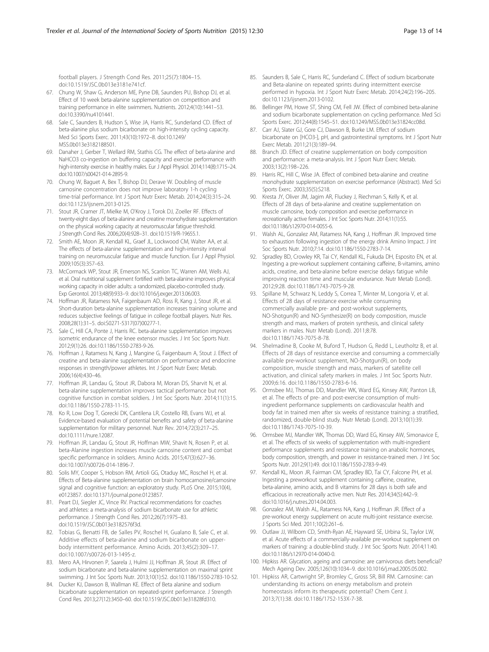<span id="page-12-0"></span>football players. J Strength Cond Res. 2011;25(7):1804–15. doi:[10.1519/JSC.0b013e3181e741cf](http://dx.doi.org/10.1519/JSC.0b013e3181e741cf).

- 67. Chung W, Shaw G, Anderson ME, Pyne DB, Saunders PU, Bishop DJ, et al. Effect of 10 week beta-alanine supplementation on competition and training performance in elite swimmers. Nutrients. 2012;4(10):1441–53. doi[:10.3390/nu4101441](http://dx.doi.org/10.3390/nu4101441).
- 68. Sale C, Saunders B, Hudson S, Wise JA, Harris RC, Sunderland CD. Effect of beta-alanine plus sodium bicarbonate on high-intensity cycling capacity. Med Sci Sports Exerc. 2011;43(10):1972–8. doi[:10.1249/](http://dx.doi.org/10.1249/MSS.0b013e3182188501) [MSS.0b013e3182188501.](http://dx.doi.org/10.1249/MSS.0b013e3182188501)
- 69. Danaher J, Gerber T, Wellard RM, Stathis CG. The effect of beta-alanine and NaHCO3 co-ingestion on buffering capacity and exercise performance with high-intensity exercise in healthy males. Eur J Appl Physiol. 2014;114(8):1715–24. doi[:10.1007/s00421-014-2895-9.](http://dx.doi.org/10.1007/s00421-014-2895-9)
- 70. Chung W, Baguet A, Bex T, Bishop DJ, Derave W. Doubling of muscle carnosine concentration does not improve laboratory 1-h cycling time-trial performance. Int J Sport Nutr Exerc Metab. 2014;24(3):315–24. doi[:10.1123/ijsnem.2013-0125.](http://dx.doi.org/10.1123/ijsnem.2013-0125)
- 71. Stout JR, Cramer JT, Mielke M, O'Kroy J, Torok DJ, Zoeller RF. Effects of twenty-eight days of beta-alanine and creatine monohydrate supplementation on the physical working capacity at neuromuscular fatigue threshold. J Strength Cond Res. 2006;20(4):928–31. doi:[10.1519/R-19655.1](http://dx.doi.org/10.1519/R-19655.1).
- 72. Smith AE, Moon JR, Kendall KL, Graef JL, Lockwood CM, Walter AA, et al. The effects of beta-alanine supplementation and high-intensity interval training on neuromuscular fatigue and muscle function. Eur J Appl Physiol. 2009;105(3):357–63.
- 73. McCormack WP, Stout JR, Emerson NS, Scanlon TC, Warren AM, Wells AJ, et al. Oral nutritional supplement fortified with beta-alanine improves physical working capacity in older adults: a randomized, placebo-controlled study. Exp Gerontol. 2013;48(9):933–9. doi[:10.1016/j.exger.2013.06.003](http://dx.doi.org/10.1016/j.exger.2013.06.003).
- 74. Hoffman JR, Ratamess NA, Faigenbaum AD, Ross R, Kang J, Stout JR, et al. Short-duration beta-alanine supplementation increases training volume and reduces subjective feelings of fatigue in college football players. Nutr Res. 2008;28(1):31–5. doi:S0271-5317(07)00277-1.
- 75. Sale C, Hill CA, Ponte J, Harris RC. beta-alanine supplementation improves isometric endurance of the knee extensor muscles. J Int Soc Sports Nutr. 2012;9(1):26. doi:[10.1186/1550-2783-9-26.](http://dx.doi.org/10.1186/1550-2783-9-26)
- 76. Hoffman J, Ratamess N, Kang J, Mangine G, Faigenbaum A, Stout J. Effect of creatine and beta-alanine supplementation on performance and endocrine responses in strength/power athletes. Int J Sport Nutr Exerc Metab. 2006;16(4):430–46.
- 77. Hoffman JR, Landau G, Stout JR, Dabora M, Moran DS, Sharvit N, et al. beta-alanine supplementation improves tactical performance but not cognitive function in combat soldiers. J Int Soc Sports Nutr. 2014;11(1):15. doi[:10.1186/1550-2783-11-15](http://dx.doi.org/10.1186/1550-2783-11-15).
- 78. Ko R, Low Dog T, Gorecki DK, Cantilena LR, Costello RB, Evans WJ, et al. Evidence-based evaluation of potential benefits and safety of beta-alanine supplementation for military personnel. Nutr Rev. 2014;72(3):217–25. doi[:10.1111/nure.12087](http://dx.doi.org/10.1111/nure.12087).
- 79. Hoffman JR, Landau G, Stout JR, Hoffman MW, Shavit N, Rosen P, et al. beta-Alanine ingestion increases muscle carnosine content and combat specific performance in soldiers. Amino Acids. 2015;47(3):627–36. doi[:10.1007/s00726-014-1896-7](http://dx.doi.org/10.1007/s00726-014-1896-7).
- 80. Solis MY, Cooper S, Hobson RM, Artioli GG, Otaduy MC, Roschel H, et al. Effects of Beta-alanine supplementation on brain homocarnosine/carnosine signal and cognitive function: an exploratory study. PLoS One. 2015;10(4), e0123857. doi:[10.1371/journal.pone.0123857](http://dx.doi.org/10.1371/journal.pone.0123857).
- 81. Peart DJ, Siegler JC, Vince RV. Practical recommendations for coaches and athletes: a meta-analysis of sodium bicarbonate use for athletic performance. J Strength Cond Res. 2012;26(7):1975–83. doi[:10.1519/JSC.0b013e3182576f3d.](http://dx.doi.org/10.1519/JSC.0b013e3182576f3d)
- 82. Tobias G, Benatti FB, de Salles PV, Roschel H, Gualano B, Sale C, et al. Additive effects of beta-alanine and sodium bicarbonate on upperbody intermittent performance. Amino Acids. 2013;45(2):309–17. doi:[10.1007/s00726-013-1495-z](http://dx.doi.org/10.1007/s00726-013-1495-z).
- 83. Mero AA, Hirvonen P, Saarela J, Hulmi JJ, Hoffman JR, Stout JR. Effect of sodium bicarbonate and beta-alanine supplementation on maximal sprint swimming. J Int Soc Sports Nutr. 2013;10(1):52. doi[:10.1186/1550-2783-10-52.](http://dx.doi.org/10.1186/1550-2783-10-52)
- 84. Ducker KJ, Dawson B, Wallman KE. Effect of Beta alanine and sodium bicarbonate supplementation on repeated-sprint performance. J Strength Cond Res. 2013;27(12):3450–60. doi[:10.1519/JSC.0b013e31828fd310](http://dx.doi.org/10.1519/JSC.0b013e31828fd310).
- 85. Saunders B, Sale C, Harris RC, Sunderland C. Effect of sodium bicarbonate and Beta-alanine on repeated sprints during intermittent exercise performed in hypoxia. Int J Sport Nutr Exerc Metab. 2014;24(2):196–205. doi[:10.1123/ijsnem.2013-0102.](http://dx.doi.org/10.1123/ijsnem.2013-0102)
- 86. Bellinger PM, Howe ST, Shing CM, Fell JW. Effect of combined beta-alanine and sodium bicarbonate supplementation on cycling performance. Med Sci Sports Exerc. 2012;44(8):1545–51. doi[:10.1249/MSS.0b013e31824cc08d.](http://dx.doi.org/10.1249/MSS.0b013e31824cc08d)
- 87. Carr AJ, Slater GJ, Gore CJ, Dawson B, Burke LM. Effect of sodium bicarbonate on [HCO3-], pH, and gastrointestinal symptoms. Int J Sport Nutr Exerc Metab. 2011;21(3):189–94.
- 88. Branch JD. Effect of creatine supplementation on body composition and performance: a meta-analysis. Int J Sport Nutr Exerc Metab. 2003;13(2):198–226.
- 89. Harris RC, Hill C, Wise JA. Effect of combined beta-alanine and creatine monohydrate supplementation on exercise performance (Abstract). Med Sci Sports Exerc. 2003;35(5):S218.
- 90. Kresta JY, Oliver JM, Jagim AR, Fluckey J, Riechman S, Kelly K, et al. Effects of 28 days of beta-alanine and creatine supplementation on muscle carnosine, body composition and exercise performance in recreationally active females. J Int Soc Sports Nutr. 2014;11(1):55. doi:[10.1186/s12970-014-0055-6](http://dx.doi.org/10.1186/s12970-014-0055-6).
- 91. Walsh AL, Gonzalez AM, Ratamess NA, Kang J, Hoffman JR. Improved time to exhaustion following ingestion of the energy drink Amino Impact. J Int Soc Sports Nutr. 2010;7:14. doi:[10.1186/1550-2783-7-14](http://dx.doi.org/10.1186/1550-2783-7-14).
- 92. Spradley BD, Crowley KR, Tai CY, Kendall KL, Fukuda DH, Esposito EN, et al. Ingesting a pre-workout supplement containing caffeine, B-vitamins, amino acids, creatine, and beta-alanine before exercise delays fatigue while improving reaction time and muscular endurance. Nutr Metab (Lond). 2012;9:28. doi:[10.1186/1743-7075-9-28](http://dx.doi.org/10.1186/1743-7075-9-28).
- 93. Spillane M, Schwarz N, Leddy S, Correa T, Minter M, Longoria V, et al. Effects of 28 days of resistance exercise while consuming commercially available pre- and post-workout supplements, NO-Shotgun(R) and NO-Synthesize(R) on body composition, muscle strength and mass, markers of protein synthesis, and clinical safety markers in males. Nutr Metab (Lond). 2011;8:78. doi[:10.1186/1743-7075-8-78.](http://dx.doi.org/10.1186/1743-7075-8-78)
- Shelmadine B, Cooke M, Buford T, Hudson G, Redd L, Leutholtz B, et al. Effects of 28 days of resistance exercise and consuming a commercially available pre-workout supplement, NO-Shotgun(R), on body composition, muscle strength and mass, markers of satellite cell activation, and clinical safety markers in males. J Int Soc Sports Nutr. 2009;6:16. doi[:10.1186/1550-2783-6-16](http://dx.doi.org/10.1186/1550-2783-6-16).
- 95. Ormsbee MJ, Thomas DD, Mandler WK, Ward EG, Kinsey AW, Panton LB, et al. The effects of pre- and post-exercise consumption of multiingredient performance supplements on cardiovascular health and body fat in trained men after six weeks of resistance training: a stratified, randomized, double-blind study. Nutr Metab (Lond). 2013;10(1):39. doi[:10.1186/1743-7075-10-39](http://dx.doi.org/10.1186/1743-7075-10-39).
- 96. Ormsbee MJ, Mandler WK, Thomas DD, Ward EG, Kinsey AW, Simonavice E, et al. The effects of six weeks of supplementation with multi-ingredient performance supplements and resistance training on anabolic hormones, body composition, strength, and power in resistance-trained men. J Int Soc Sports Nutr. 2012;9(1):49. doi[:10.1186/1550-2783-9-49](http://dx.doi.org/10.1186/1550-2783-9-49).
- 97. Kendall KL, Moon JR, Fairman CM, Spradley BD, Tai CY, Falcone PH, et al. Ingesting a preworkout supplement containing caffeine, creatine, beta-alanine, amino acids, and B vitamins for 28 days is both safe and efficacious in recreationally active men. Nutr Res. 2014;34(5):442–9. doi[:10.1016/j.nutres.2014.04.003.](http://dx.doi.org/10.1016/j.nutres.2014.04.003)
- 98. Gonzalez AM, Walsh AL, Ratamess NA, Kang J, Hoffman JR. Effect of a pre-workout energy supplement on acute multi-joint resistance exercise. J Sports Sci Med. 2011;10(2):261–6.
- 99. Outlaw JJ, Wilborn CD, Smith-Ryan AE, Hayward SE, Urbina SL, Taylor LW, et al. Acute effects of a commercially-available pre-workout supplement on markers of training: a double-blind study. J Int Soc Sports Nutr. 2014;11:40. doi[:10.1186/s12970-014-0040-0](http://dx.doi.org/10.1186/s12970-014-0040-0).
- 100. Hipkiss AR. Glycation, ageing and carnosine: are carnivorous diets beneficial? Mech Ageing Dev. 2005;126(10):1034–9. doi:[10.1016/j.mad.2005.05.002.](http://dx.doi.org/10.1016/j.mad.2005.05.002)
- 101. Hipkiss AR, Cartwright SP, Bromley C, Gross SR, Bill RM. Carnosine: can understanding its actions on energy metabolism and protein homeostasis inform its therapeutic potential? Chem Cent J. 2013;7(1):38. doi[:10.1186/1752-153X-7-38.](http://dx.doi.org/10.1186/1752-153X-7-38)